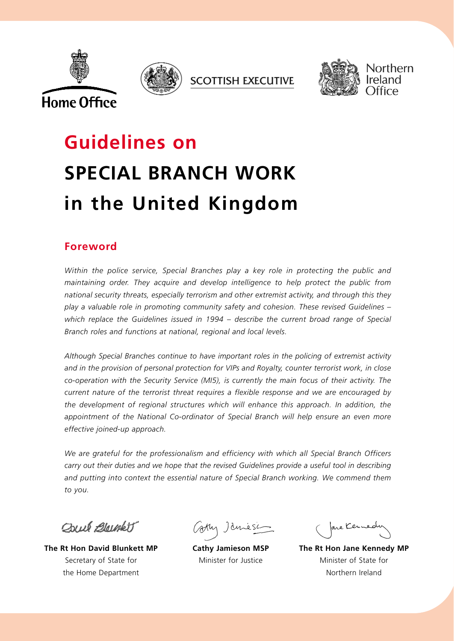







Northern

# **Guidelines on SPECIAL BRANCH WORK in the United Kingdom**

# **Foreword**

*Within the police service, Special Branches play a key role in protecting the public and maintaining order. They acquire and develop intelligence to help protect the public from national security threats, especially terrorism and other extremist activity, and through this they play a valuable role in promoting community safety and cohesion. These revised Guidelines – which replace the Guidelines issued in 1994 – describe the current broad range of Special Branch roles and functions at national, regional and local levels.*

*Although Special Branches continue to have important roles in the policing of extremist activity and in the provision of personal protection for VIPs and Royalty, counter terrorist work, in close co-operation with the Security Service (MI5), is currently the main focus of their activity. The current nature of the terrorist threat requires a flexible response and we are encouraged by the development of regional structures which will enhance this approach. In addition, the appointment of the National Co-ordinator of Special Branch will help ensure an even more effective joined-up approach.*

*We are grateful for the professionalism and efficiency with which all Special Branch Officers carry out their duties and we hope that the revised Guidelines provide a useful tool in describing and putting into context the essential nature of Special Branch working. We commend them to you.*

OWN Bloughett

**The Rt Hon David Blunkett MP** Secretary of State for the Home Department

**Cathy Jamieson MSP** Minister for Justice

are Kennedy

**The Rt Hon Jane Kennedy MP** Minister of State for Northern Ireland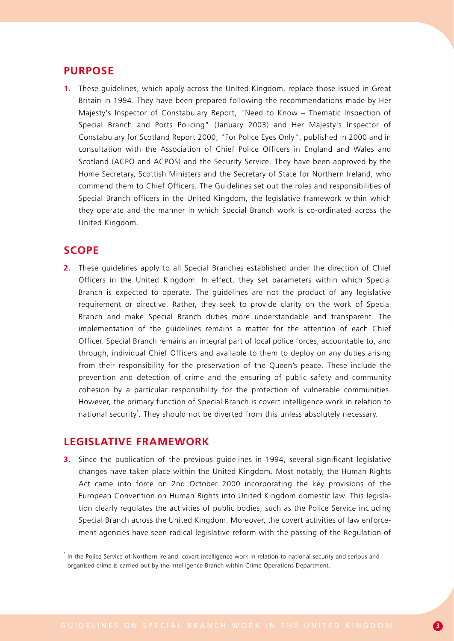## **PURPOSE**

**1.** These guidelines, which apply across the United Kingdom, replace those issued in Great Britain in 1994. They have been prepared following the recommendations made by Her Majesty's Inspector of Constabulary Report, "Need to Know – Thematic Inspection of Special Branch and Ports Policing" (January 2003) and Her Majesty's Inspector of Constabulary for Scotland Report 2000, "For Police Eyes Only", published in 2000 and in consultation with the Association of Chief Police Officers in England and Wales and Scotland (ACPO and ACPOS) and the Security Service. They have been approved by the Home Secretary, Scottish Ministers and the Secretary of State for Northern Ireland, who commend them to Chief Officers. The Guidelines set out the roles and responsibilities of Special Branch officers in the United Kingdom, the legislative framework within which they operate and the manner in which Special Branch work is co-ordinated across the United Kingdom.

# **SCOPE**

**2.** These guidelines apply to all Special Branches established under the direction of Chief Officers in the United Kingdom. In effect, they set parameters within which Special Branch is expected to operate. The guidelines are not the product of any legislative requirement or directive. Rather, they seek to provide clarity on the work of Special Branch and make Special Branch duties more understandable and transparent. The implementation of the guidelines remains a matter for the attention of each Chief Officer. Special Branch remains an integral part of local police forces, accountable to, and through, individual Chief Officers and available to them to deploy on any duties arising from their responsibility for the preservation of the Queen's peace. These include the prevention and detection of crime and the ensuring of public safety and community cohesion by a particular responsibility for the protection of vulnerable communities. However, the primary function of Special Branch is covert intelligence work in relation to national security<sup>1</sup>. They should not be diverted from this unless absolutely necessary.

# **LEGISLATIVE FRAMEWORK**

**3.** Since the publication of the previous guidelines in 1994, several significant legislative changes have taken place within the United Kingdom. Most notably, the Human Rights Act came into force on 2nd October 2000 incorporating the key provisions of the European Convention on Human Rights into United Kingdom domestic law. This legislation clearly regulates the activities of public bodies, such as the Police Service including Special Branch across the United Kingdom. Moreover, the covert activities of law enforcement agencies have seen radical legislative reform with the passing of the Regulation of

<sup>&</sup>lt;sup>1</sup> In the Police Service of Northern Ireland, covert intelligence work in relation to national security and serious and organised crime is carried out by the Intelligence Branch within Crime Operations Department.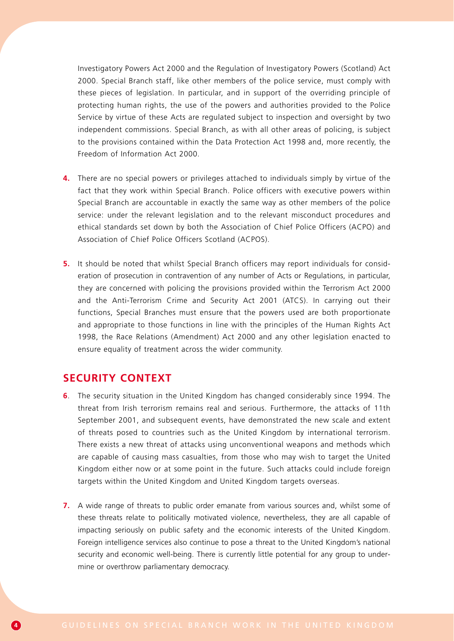Investigatory Powers Act 2000 and the Regulation of Investigatory Powers (Scotland) Act 2000. Special Branch staff, like other members of the police service, must comply with these pieces of legislation. In particular, and in support of the overriding principle of protecting human rights, the use of the powers and authorities provided to the Police Service by virtue of these Acts are regulated subject to inspection and oversight by two independent commissions. Special Branch, as with all other areas of policing, is subject to the provisions contained within the Data Protection Act 1998 and, more recently, the Freedom of Information Act 2000.

- **4.** There are no special powers or privileges attached to individuals simply by virtue of the fact that they work within Special Branch. Police officers with executive powers within Special Branch are accountable in exactly the same way as other members of the police service: under the relevant legislation and to the relevant misconduct procedures and ethical standards set down by both the Association of Chief Police Officers (ACPO) and Association of Chief Police Officers Scotland (ACPOS).
- **5.** It should be noted that whilst Special Branch officers may report individuals for consideration of prosecution in contravention of any number of Acts or Regulations, in particular, they are concerned with policing the provisions provided within the Terrorism Act 2000 and the Anti-Terrorism Crime and Security Act 2001 (ATCS). In carrying out their functions, Special Branches must ensure that the powers used are both proportionate and appropriate to those functions in line with the principles of the Human Rights Act 1998, the Race Relations (Amendment) Act 2000 and any other legislation enacted to ensure equality of treatment across the wider community.

# **SECURITY CONTEXT**

- **6**. The security situation in the United Kingdom has changed considerably since 1994. The threat from Irish terrorism remains real and serious. Furthermore, the attacks of 11th September 2001, and subsequent events, have demonstrated the new scale and extent of threats posed to countries such as the United Kingdom by international terrorism. There exists a new threat of attacks using unconventional weapons and methods which are capable of causing mass casualties, from those who may wish to target the United Kingdom either now or at some point in the future. Such attacks could include foreign targets within the United Kingdom and United Kingdom targets overseas.
- **7.** A wide range of threats to public order emanate from various sources and, whilst some of these threats relate to politically motivated violence, nevertheless, they are all capable of impacting seriously on public safety and the economic interests of the United Kingdom. Foreign intelligence services also continue to pose a threat to the United Kingdom's national security and economic well-being. There is currently little potential for any group to undermine or overthrow parliamentary democracy.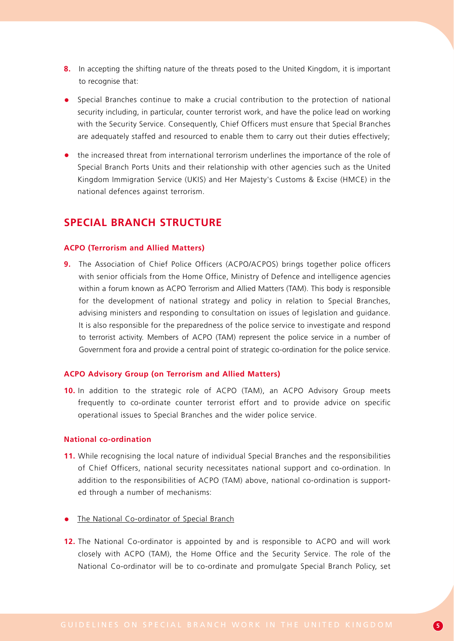- **8.** In accepting the shifting nature of the threats posed to the United Kingdom, it is important to recognise that:
- Special Branches continue to make a crucial contribution to the protection of national security including, in particular, counter terrorist work, and have the police lead on working with the Security Service. Consequently, Chief Officers must ensure that Special Branches are adequately staffed and resourced to enable them to carry out their duties effectively;
- the increased threat from international terrorism underlines the importance of the role of Special Branch Ports Units and their relationship with other agencies such as the United Kingdom Immigration Service (UKIS) and Her Majesty's Customs & Excise (HMCE) in the national defences against terrorism.

# **SPECIAL BRANCH STRUCTURE**

#### **ACPO (Terrorism and Allied Matters)**

**9.** The Association of Chief Police Officers (ACPO/ACPOS) brings together police officers with senior officials from the Home Office, Ministry of Defence and intelligence agencies within a forum known as ACPO Terrorism and Allied Matters (TAM). This body is responsible for the development of national strategy and policy in relation to Special Branches, advising ministers and responding to consultation on issues of legislation and guidance. It is also responsible for the preparedness of the police service to investigate and respond to terrorist activity. Members of ACPO (TAM) represent the police service in a number of Government fora and provide a central point of strategic co-ordination for the police service.

#### **ACPO Advisory Group (on Terrorism and Allied Matters)**

**10.** In addition to the strategic role of ACPO (TAM), an ACPO Advisory Group meets frequently to co-ordinate counter terrorist effort and to provide advice on specific operational issues to Special Branches and the wider police service.

#### **National co-ordination**

- **11.** While recognising the local nature of individual Special Branches and the responsibilities of Chief Officers, national security necessitates national support and co-ordination. In addition to the responsibilities of ACPO (TAM) above, national co-ordination is supported through a number of mechanisms:
- The National Co-ordinator of Special Branch
- **12.** The National Co-ordinator is appointed by and is responsible to ACPO and will work closely with ACPO (TAM), the Home Office and the Security Service. The role of the National Co-ordinator will be to co-ordinate and promulgate Special Branch Policy, set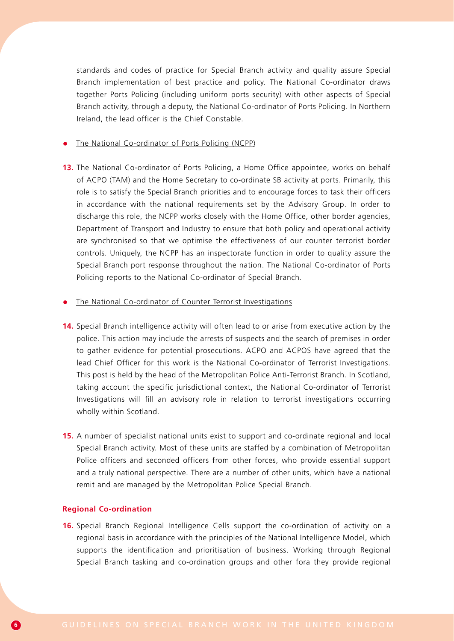standards and codes of practice for Special Branch activity and quality assure Special Branch implementation of best practice and policy. The National Co-ordinator draws together Ports Policing (including uniform ports security) with other aspects of Special Branch activity, through a deputy, the National Co-ordinator of Ports Policing. In Northern Ireland, the lead officer is the Chief Constable.

#### The National Co-ordinator of Ports Policing (NCPP)

**13.** The National Co-ordinator of Ports Policing, a Home Office appointee, works on behalf of ACPO (TAM) and the Home Secretary to co-ordinate SB activity at ports. Primarily, this role is to satisfy the Special Branch priorities and to encourage forces to task their officers in accordance with the national requirements set by the Advisory Group. In order to discharge this role, the NCPP works closely with the Home Office, other border agencies, Department of Transport and Industry to ensure that both policy and operational activity are synchronised so that we optimise the effectiveness of our counter terrorist border controls. Uniquely, the NCPP has an inspectorate function in order to quality assure the Special Branch port response throughout the nation. The National Co-ordinator of Ports Policing reports to the National Co-ordinator of Special Branch.

#### The National Co-ordinator of Counter Terrorist Investigations

- **14.** Special Branch intelligence activity will often lead to or arise from executive action by the police. This action may include the arrests of suspects and the search of premises in order to gather evidence for potential prosecutions. ACPO and ACPOS have agreed that the lead Chief Officer for this work is the National Co-ordinator of Terrorist Investigations. This post is held by the head of the Metropolitan Police Anti-Terrorist Branch. In Scotland, taking account the specific jurisdictional context, the National Co-ordinator of Terrorist Investigations will fill an advisory role in relation to terrorist investigations occurring wholly within Scotland.
- **15.** A number of specialist national units exist to support and co-ordinate regional and local Special Branch activity. Most of these units are staffed by a combination of Metropolitan Police officers and seconded officers from other forces, who provide essential support and a truly national perspective. There are a number of other units, which have a national remit and are managed by the Metropolitan Police Special Branch.

#### **Regional Co-ordination**

**16.** Special Branch Regional Intelligence Cells support the co-ordination of activity on a regional basis in accordance with the principles of the National Intelligence Model, which supports the identification and prioritisation of business. Working through Regional Special Branch tasking and co-ordination groups and other fora they provide regional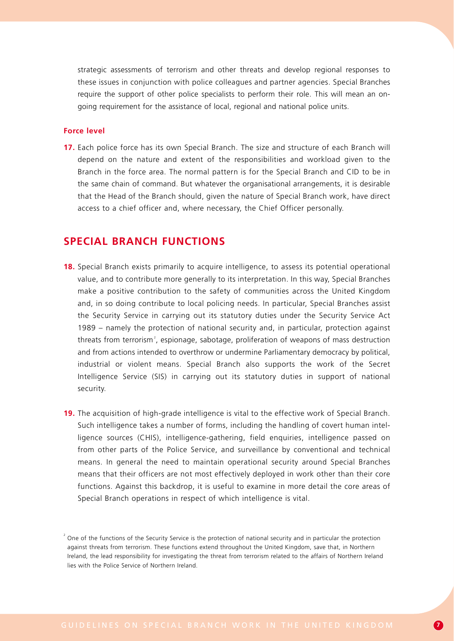strategic assessments of terrorism and other threats and develop regional responses to these issues in conjunction with police colleagues and partner agencies. Special Branches require the support of other police specialists to perform their role. This will mean an ongoing requirement for the assistance of local, regional and national police units.

#### **Force level**

**17.** Each police force has its own Special Branch. The size and structure of each Branch will depend on the nature and extent of the responsibilities and workload given to the Branch in the force area. The normal pattern is for the Special Branch and CID to be in the same chain of command. But whatever the organisational arrangements, it is desirable that the Head of the Branch should, given the nature of Special Branch work, have direct access to a chief officer and, where necessary, the Chief Officer personally.

# **SPECIAL BRANCH FUNCTIONS**

- **18.** Special Branch exists primarily to acquire intelligence, to assess its potential operational value, and to contribute more generally to its interpretation. In this way, Special Branches make a positive contribution to the safety of communities across the United Kingdom and, in so doing contribute to local policing needs. In particular, Special Branches assist the Security Service in carrying out its statutory duties under the Security Service Act 1989 – namely the protection of national security and, in particular, protection against threats from terrorism<sup>2</sup>, espionage, sabotage, proliferation of weapons of mass destruction and from actions intended to overthrow or undermine Parliamentary democracy by political, industrial or violent means. Special Branch also supports the work of the Secret Intelligence Service (SIS) in carrying out its statutory duties in support of national security.
- **19.** The acquisition of high-grade intelligence is vital to the effective work of Special Branch. Such intelligence takes a number of forms, including the handling of covert human intelligence sources (CHIS), intelligence-gathering, field enquiries, intelligence passed on from other parts of the Police Service, and surveillance by conventional and technical means. In general the need to maintain operational security around Special Branches means that their officers are not most effectively deployed in work other than their core functions. Against this backdrop, it is useful to examine in more detail the core areas of Special Branch operations in respect of which intelligence is vital.

 $2^{2}$  One of the functions of the Security Service is the protection of national security and in particular the protection against threats from terrorism. These functions extend throughout the United Kingdom, save that, in Northern Ireland, the lead responsibility for investigating the threat from terrorism related to the affairs of Northern Ireland lies with the Police Service of Northern Ireland.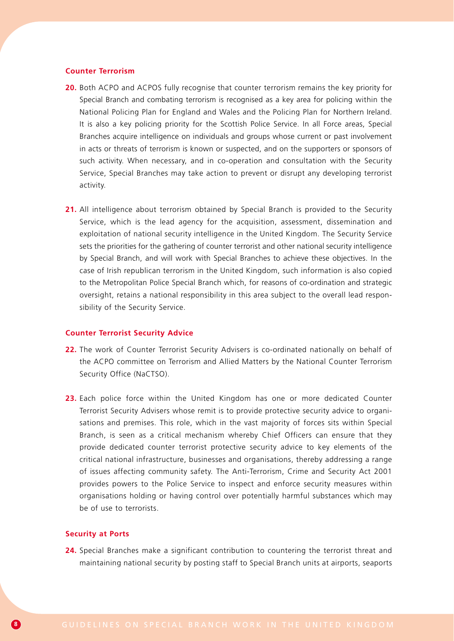#### **Counter Terrorism**

- **20.** Both ACPO and ACPOS fully recognise that counter terrorism remains the key priority for Special Branch and combating terrorism is recognised as a key area for policing within the National Policing Plan for England and Wales and the Policing Plan for Northern Ireland. It is also a key policing priority for the Scottish Police Service. In all Force areas, Special Branches acquire intelligence on individuals and groups whose current or past involvement in acts or threats of terrorism is known or suspected, and on the supporters or sponsors of such activity. When necessary, and in co-operation and consultation with the Security Service, Special Branches may take action to prevent or disrupt any developing terrorist activity.
- 21. All intelligence about terrorism obtained by Special Branch is provided to the Security Service, which is the lead agency for the acquisition, assessment, dissemination and exploitation of national security intelligence in the United Kingdom. The Security Service sets the priorities for the gathering of counter terrorist and other national security intelligence by Special Branch, and will work with Special Branches to achieve these objectives. In the case of Irish republican terrorism in the United Kingdom, such information is also copied to the Metropolitan Police Special Branch which, for reasons of co-ordination and strategic oversight, retains a national responsibility in this area subject to the overall lead responsibility of the Security Service.

#### **Counter Terrorist Security Advice**

- **22.** The work of Counter Terrorist Security Advisers is co-ordinated nationally on behalf of the ACPO committee on Terrorism and Allied Matters by the National Counter Terrorism Security Office (NaCTSO).
- **23.** Each police force within the United Kingdom has one or more dedicated Counter Terrorist Security Advisers whose remit is to provide protective security advice to organisations and premises. This role, which in the vast majority of forces sits within Special Branch, is seen as a critical mechanism whereby Chief Officers can ensure that they provide dedicated counter terrorist protective security advice to key elements of the critical national infrastructure, businesses and organisations, thereby addressing a range of issues affecting community safety. The Anti-Terrorism, Crime and Security Act 2001 provides powers to the Police Service to inspect and enforce security measures within organisations holding or having control over potentially harmful substances which may be of use to terrorists.

#### **Security at Ports**

**24.** Special Branches make a significant contribution to countering the terrorist threat and maintaining national security by posting staff to Special Branch units at airports, seaports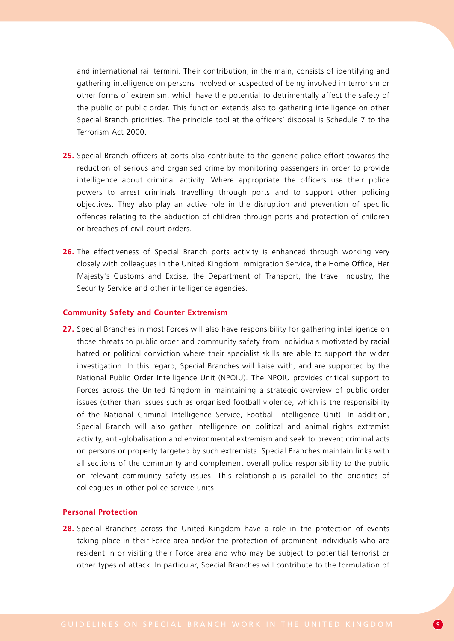and international rail termini. Their contribution, in the main, consists of identifying and gathering intelligence on persons involved or suspected of being involved in terrorism or other forms of extremism, which have the potential to detrimentally affect the safety of the public or public order. This function extends also to gathering intelligence on other Special Branch priorities. The principle tool at the officers' disposal is Schedule 7 to the Terrorism Act 2000.

- **25.** Special Branch officers at ports also contribute to the generic police effort towards the reduction of serious and organised crime by monitoring passengers in order to provide intelligence about criminal activity. Where appropriate the officers use their police powers to arrest criminals travelling through ports and to support other policing objectives. They also play an active role in the disruption and prevention of specific offences relating to the abduction of children through ports and protection of children or breaches of civil court orders.
- **26.** The effectiveness of Special Branch ports activity is enhanced through working very closely with colleagues in the United Kingdom Immigration Service, the Home Office, Her Majesty's Customs and Excise, the Department of Transport, the travel industry, the Security Service and other intelligence agencies.

#### **Community Safety and Counter Extremism**

**27.** Special Branches in most Forces will also have responsibility for gathering intelligence on those threats to public order and community safety from individuals motivated by racial hatred or political conviction where their specialist skills are able to support the wider investigation. In this regard, Special Branches will liaise with, and are supported by the National Public Order Intelligence Unit (NPOIU). The NPOIU provides critical support to Forces across the United Kingdom in maintaining a strategic overview of public order issues (other than issues such as organised football violence, which is the responsibility of the National Criminal Intelligence Service, Football Intelligence Unit). In addition, Special Branch will also gather intelligence on political and animal rights extremist activity, anti-globalisation and environmental extremism and seek to prevent criminal acts on persons or property targeted by such extremists. Special Branches maintain links with all sections of the community and complement overall police responsibility to the public on relevant community safety issues. This relationship is parallel to the priorities of colleagues in other police service units.

#### **Personal Protection**

**28.** Special Branches across the United Kingdom have a role in the protection of events taking place in their Force area and/or the protection of prominent individuals who are resident in or visiting their Force area and who may be subject to potential terrorist or other types of attack. In particular, Special Branches will contribute to the formulation of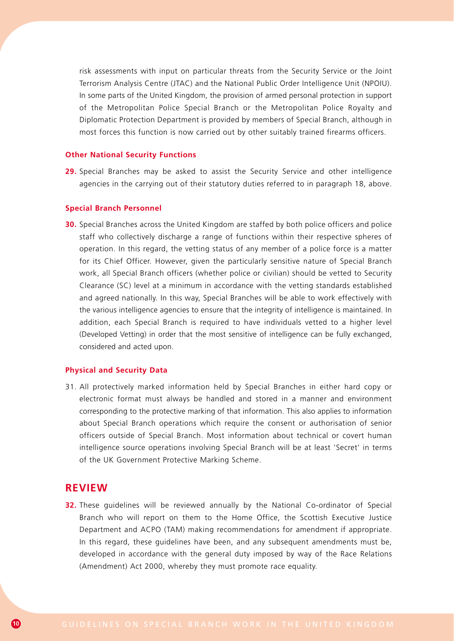risk assessments with input on particular threats from the Security Service or the Joint Terrorism Analysis Centre (JTAC) and the National Public Order Intelligence Unit (NPOIU). In some parts of the United Kingdom, the provision of armed personal protection in support of the Metropolitan Police Special Branch or the Metropolitan Police Royalty and Diplomatic Protection Department is provided by members of Special Branch, although in most forces this function is now carried out by other suitably trained firearms officers.

#### **Other National Security Functions**

**29.** Special Branches may be asked to assist the Security Service and other intelligence agencies in the carrying out of their statutory duties referred to in paragraph 18, above.

#### **Special Branch Personnel**

**30.** Special Branches across the United Kingdom are staffed by both police officers and police staff who collectively discharge a range of functions within their respective spheres of operation. In this regard, the vetting status of any member of a police force is a matter for its Chief Officer. However, given the particularly sensitive nature of Special Branch work, all Special Branch officers (whether police or civilian) should be vetted to Security Clearance (SC) level at a minimum in accordance with the vetting standards established and agreed nationally. In this way, Special Branches will be able to work effectively with the various intelligence agencies to ensure that the integrity of intelligence is maintained. In addition, each Special Branch is required to have individuals vetted to a higher level (Developed Vetting) in order that the most sensitive of intelligence can be fully exchanged, considered and acted upon.

#### **Physical and Security Data**

31. All protectively marked information held by Special Branches in either hard copy or electronic format must always be handled and stored in a manner and environment corresponding to the protective marking of that information. This also applies to information about Special Branch operations which require the consent or authorisation of senior officers outside of Special Branch. Most information about technical or covert human intelligence source operations involving Special Branch will be at least 'Secret' in terms of the UK Government Protective Marking Scheme.

### **REVIEW**

**32.** These quidelines will be reviewed annually by the National Co-ordinator of Special Branch who will report on them to the Home Office, the Scottish Executive Justice Department and ACPO (TAM) making recommendations for amendment if appropriate. In this regard, these guidelines have been, and any subsequent amendments must be, developed in accordance with the general duty imposed by way of the Race Relations (Amendment) Act 2000, whereby they must promote race equality.